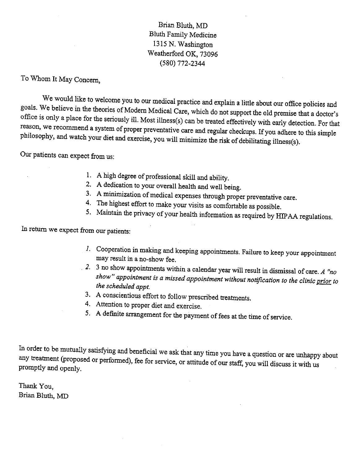Brian Bluth, MD Bluth Family Medicine 1315 N. Washington Weatherford OK, 73096 (s80) 772\_2344

To Whom It May Concem,

We would like to welcome you to our medical practice and explain a little about our office policies and<br>goals. We believe in the theories of Modern Medical Care, which do not support the old premise that a doctor's<br>office

Our patients can expect from us:

- 
- 
- 
- 
- 1. A high degree of professional skill and ability.<br>
2. A dedication to your overall health and well being.<br>
3. A minimization of medical expenses through proper preventative care.<br>
4. The highest effort to make your visit

ln retum we expect from our patients:

- I. Cooperation in making and keeping appointrnents. Failure to keep your appointrnent may result in a no-show fee.
- $3$  no show appointments within a calendar year will result in dismissal of care. A "no" show" appointment is a missed appointment without notification to the clinic prior to the scheduled appt.
	- A conscientious effort to follow prescribed teatments.
	- Attention to proper diet and exercise. A
	- 5. A definite arrangement for the payment of fees at the time of service

In order to be mutually satisfying and beneficial we ask that any time you have a question or are unhappy about<br>any treatment (proposed or performed), fee for service, or attitude of our staff, you will discuss it with us<br>

Thank You, Brian Bluth, MD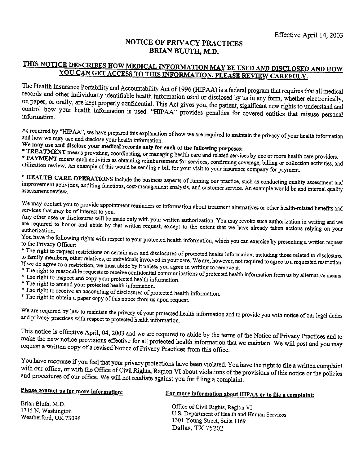### NOTICE OF PRIVACY PRACTICES BRIAN BLUTH, M.D.

### THIS NOTICE DESCRIBES HOW MEDICAL INFORMATION MAY BE USED AND DISCLOSED AND HOW YOU CAN GET ACCESS TO THIS INFORMATION. PLEASE REVIEW CAREFULY.

The Health Insurance Portability and Accountability Act of 1996 (HIPAA) is a federal program that requires that all medical records and other individually identifiable health information used or disclosed by us in any form, whether electronically, on paper, or orally, are kept properly confidential. This Act gives you, the patient, significant new rights to understand and control how your health information is used. "HIPAA" provides penalties for covered entities that misuse personal

As required by "HIPAA", we have prepared this explanation of how we are required to maintain the privacy of your health information and how we may use and disclose your health information.

We may use and disclose your medical records only for each of the following purposes:

\* TREATMENT means providing, coordinating, or managing health care and related services by one or more health care providers.

\* PAYMENT means such activities as obtaining reimbursement for services, confirming coverage, billing or collection activities, and utilization review. An example of this would be sending a bill for your visit to your insurance company for payment.

\* HEALTH CARE OPERATIONS include the business aspects of running our practice, such as conducting quality assessment and improvement activities, auditing functions, cost-management analysis, and customer service. An example would be and internal quality assessment review.

We may contact you to provide appointment reminders or information about treatment alternatives or other health-related benefits and services that may be of interest to you.

Any other uses or disclosures will be made only with your written authorization. You may revoke such authorization in writing and we are required to honor and abide by that written request, except to the extent that we have already taken actions relying on your authorization.

You have the following rights with respect to your protected health information, which you can exercise by presenting a written request to the Privacy Officer:

\* The right to request restrictions on certain uses and disclosures of protected health information, including those related to disclosures to family members, other relatives, or individuals involved in your care. We are, however, not required to agree to a requested restriction. If we do agree to a restriction, we must abide by it unless you agree in writing to remove it.

- 
- \* The right to reasonable requests to receive confidential communications of protected health information from us by alternative means. \* The right to inspect and copy your protected health information.
- \* The right to amend your protected health information.
- \* The right to receive an accounting of disclosures of protected health information.
- \* The right to obtain a paper copy of this notice from us upon request.

We are required by law to maintain the privacy of your protected health information and to provide you with notice of our legal duties and privacy practices with respect to protected health information.

This notice is effective April, 04, 2003 and we are required to abide by the terms of the Notice of Privacy Practices and to make the new notice provisions effective for all protected health information that we maintain. We will post and you may request a written copy of a revised Notice of Privacy Practices from this office.

You have recourse if you feel that your privacy protections have been violated. You have the right to file a written complaint with our office, or with the Office of Civil Rights, Region VI about violations of the provisions of this notice or the policies and procedures of our office. We will not retaliate against you for filing a complaint.

| For more information about HIPAA or to file a complaint:                          |
|-----------------------------------------------------------------------------------|
| Office of Civil Rights, Region VI<br>U.S. Department of Health and Human Services |
|                                                                                   |

partment of Health and Human Services 1301 Young Street, Suite 1169 Dallas, TX 75202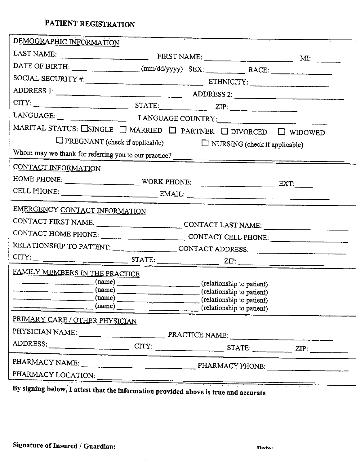## PATIENT REGISTRATION

| DEMOGRAPHIC INFORMATION                                                    |                        |                           |     |
|----------------------------------------------------------------------------|------------------------|---------------------------|-----|
|                                                                            |                        |                           | MI: |
|                                                                            |                        |                           |     |
| SOCIAL SECURITY #: $E1$ ETHNICITY:                                         |                        |                           |     |
| ADDRESS 1:                                                                 |                        |                           |     |
| $CITY:$ $ZIP:$ $ZIP:$                                                      |                        |                           |     |
| LANGUAGE: LANGUAGE COUNTRY:                                                |                        |                           |     |
| MARITAL STATUS: CSINGLE C MARRIED C PARTNER C DIVORCED C WIDOWED           |                        |                           |     |
| $\Box$ PREGNANT (check if applicable) $\Box$ NURSING (check if applicable) |                        |                           |     |
| Whom may we thank for referring you to our practice?                       |                        |                           |     |
| CONTACT INFORMATION                                                        |                        |                           |     |
| HOME PHONE: WORK PHONE: EXT:                                               |                        |                           |     |
|                                                                            |                        |                           |     |
| EMERGENCY CONTACT INFORMATION                                              |                        |                           |     |
| CONTACT FIRST NAME: CONTACT LAST NAME:                                     |                        |                           |     |
| CONTACT HOME PHONE: CONTACT CELL PHONE:                                    |                        |                           |     |
| RELATIONSHIP TO PATIENT: CONTACT ADDRESS: CONTACT ADDRESS:                 |                        |                           |     |
| $CITY:$ STATE: $ZIP:$                                                      |                        |                           |     |
| FAMILY MEMBERS IN THE PRACTICE                                             |                        |                           |     |
| $(mame)$ (relationship to patient)                                         |                        |                           |     |
| $(mame)$ $(mame)$                                                          |                        | (relationship to patient) |     |
|                                                                            |                        |                           |     |
| PRIMARY CARE / OTHER PHYSICIAN                                             |                        |                           |     |
| PHYSICIAN NAME: PRACTICE NAME:                                             |                        |                           |     |
| ADDRESS: CITY: CITY: STATE: ZIP: ZIP:                                      |                        |                           |     |
|                                                                            |                        |                           |     |
| PHARMACY LOCATION:                                                         |                        |                           |     |
|                                                                            | <del>- 300 - 300</del> |                           |     |

By signing below, I attest that the information provided above is true and accurate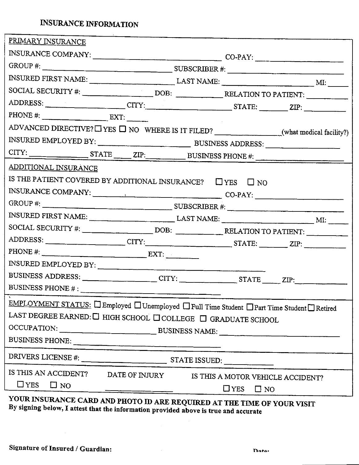# INSURANCE INFORMATION

| PRIMARY INSURANCE                                                    |                                                                                                               |  |
|----------------------------------------------------------------------|---------------------------------------------------------------------------------------------------------------|--|
|                                                                      |                                                                                                               |  |
|                                                                      | GROUP #: $\qquad \qquad \qquad \text{SUBSCRIBER #:}$                                                          |  |
|                                                                      |                                                                                                               |  |
|                                                                      | SOCIAL SECURITY #: ______________________DOB: _________________________RELATION TO PATIENT: _________________ |  |
|                                                                      | ADDRESS: CITY: CITY: STATE: ZIP: ZIP:                                                                         |  |
| PHONE #: $EXT:$                                                      |                                                                                                               |  |
|                                                                      | ADVANCED DIRECTIVE? $\Box$ YES $\Box$ NO WHERE IS IT FILED? _______________(what medical facility?)           |  |
|                                                                      |                                                                                                               |  |
|                                                                      | CITY: STATE ZIP: BUSINESS PHONE #:                                                                            |  |
| ADDITIONAL INSURANCE                                                 |                                                                                                               |  |
| IS THE PATIENT COVERED BY ADDITIONAL INSURANCE? $\Box$ YES $\Box$ NO |                                                                                                               |  |
|                                                                      | INSURANCE COMPANY: COMPANY: CO-PAY:                                                                           |  |
|                                                                      | GROUP #: $\qquad \qquad \qquad \text{SUBSCRIBER #:}$                                                          |  |
|                                                                      |                                                                                                               |  |
|                                                                      | SOCIAL SECURITY #: _____________________DOB: _________________________RELATION TO PATIENT: _________          |  |
|                                                                      | ADDRESS: CITY: CITY: STATE: ZIP: ZIP:                                                                         |  |
| PHONE #: $EXT:$                                                      |                                                                                                               |  |
|                                                                      |                                                                                                               |  |
|                                                                      | BUSINESS ADDRESS: _____________________CITY: ____________________STATE ________ ZIP:________________          |  |
| BUSINESS PHONE # :                                                   |                                                                                                               |  |
|                                                                      | EMPLOYMENT STATUS: C Employed C Unemployed C Full Time Student C Part Time Student C Retired                  |  |
|                                                                      | LAST DEGREE EARNED: $\Box$ HIGH SCHOOL $\Box$ COLLEGE $\Box$ GRADUATE SCHOOL                                  |  |
|                                                                      |                                                                                                               |  |
| BUSINESS PHONE:                                                      |                                                                                                               |  |
|                                                                      |                                                                                                               |  |
|                                                                      | IS THIS AN ACCIDENT? DATE OF INJURY IS THIS A MOTOR VEHICLE ACCIDENT?                                         |  |
| $\Box$ YES<br>$\square$ NO                                           |                                                                                                               |  |
|                                                                      | $\Box$ YES<br>$\square$ NO<br>YOUR INSURANCE CARD AND PHOTO ID ARE REQUIRED AT THE TIME OF VOUR VISIT         |  |
|                                                                      |                                                                                                               |  |

By signing below, I attest that the information provided above is true and accurate

 $\sim 10^7$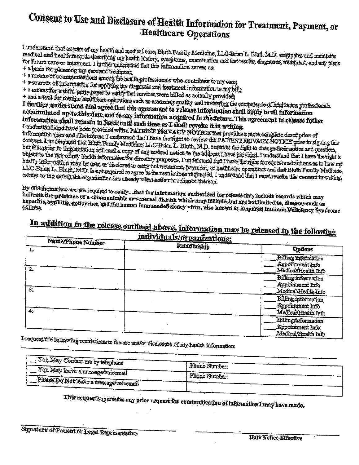# Consent to Use and Disclosure of Health Information for Treatment, Payment, or **Healthcare Operations**

I understand that as part of my health and medical care, Bluth Family Medicine, LLC-Brian L. Bluth M.D. originates and maintains medical and health records describing my health history, symptoms, examination and test results, diagnoses, treatment, and any plans for future care or neatment. I further understand that this information serves as: + a basis for planning my care and treatment;

+ a means of communications among the health professionals who contribute to my care;

+ a sources of information for applying my diagnosis and treatment information to my bill;

+ a means for a third-party payer to verify that services were billed as actually provided.

+ and a tool for routine healtheare operations such as assessing quality and reviewing the competence of healthcare professionals. I further understand and agree that this agreement to release information shall apply to all information accumulated up to this date and to any information acquired in the future. This agreement to release futher information shall remain in force until such time as I shall revoke it in writing.

I understand and have been provided with a PATIENT PRIVACY NOTICE that provides a more complete description of information uses and disclosures. Tunderstand that I have the right to review the PATHNT PRIVACY. NOTICE prior to signing this consean. I understand that Blufh Family Medicine, LLC-Brian L. Bluth, M.D. reserves the right to change their notice and practices, but that prior to implantation will mail a copy of any revised notice to the address I have provided. I understand that I have the right to object to the use of my health information for directory purposes. I understand that I have the right to request restrictions as to how my health information may be used or disclosed to carry our treatment, payment, or healthcare operations and that Bluth Family Medicine, LLC-Brian L. Bluth, M.D. is not required to agree to the restrictions requested. I underland that I must revoke this consent in writing. except to the extent the organization has already taken action in reliance thereon.

By Oklahoma law we are required to notify...that the information authorized for release may include records which may indicate the presence of a communicable or venereal disease which may include, but are not limited to, diseases such as hepatitis, syphilis, gonorrhea and the human immunedeficiency virus, also known as Acquired Immune Deficiency Syndrome

# In addition to the release outlined above, information may be released to the following

| Name/Phone Number           | <u>mulvicuals/organizations:</u> |                                                                        |
|-----------------------------|----------------------------------|------------------------------------------------------------------------|
|                             | Relationship                     | <b>Options</b>                                                         |
| $\mathbf{2}$                |                                  | Billing information<br>Appointment info<br>Medišal/Health Info         |
| 3.                          |                                  | Billing information<br>Appointment Info<br>Medical/Health Info         |
| $\mathcal{A}_{\mathcal{F}}$ |                                  | Billing information<br>Appointment Info<br>Medical/Health Info         |
|                             |                                  | <b>Billing information</b><br>Appointment Info.<br>Medical/Health Info |

I request the following restrictions to the use and/or disclosure of my health information:

| Fou May Contact me by telephone         |               |
|-----------------------------------------|---------------|
|                                         | Phone Number: |
| Von May feave a message/voicemail       |               |
| Please Do Not leave a message/voicemail | Phone Number  |
|                                         |               |
|                                         |               |

This request supersedes any prior request for communication of information I may have made.

Signature of Patient or Legal Representative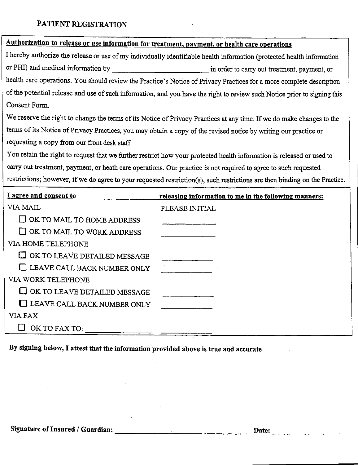### PATIENT REGISTRATION

### Authorization to release or use information for treatment. pavment. or health care operations

I hereby authorize the release or use of my individually identifiable health information (protected health information or PHI) and medical information by \_\_\_\_\_\_\_\_\_\_\_\_\_\_\_\_\_\_\_\_\_\_\_\_\_\_\_\_\_\_\_\_\_\_ in order to carry out treatment, payment, or health care operations. You should review the Practioe's Notice of Privaoy Practices for a more complete description of the potential release and use of such information, and you have the right to review such Notice prior to siping this Consent Form.

We reserve the right to change the terms of its Notice of Privacy Practices at any time. If we do make changes to the terms of its Notice of Privacy Practices, you may obtain a copy of the revised notioe by writing our practice or requesting a copy from our front desk staff

You retain the right to request that we further restrict how your protected health information is released or used to carry out treatment, payment, or heath care operations. Our practice is not required to agree to such requested restrictions; however, if we do agree to your requested restiction(s), such restrictions are then binding on the Practice.

| I agree and consent to            | releasing information to me in the following manners: |
|-----------------------------------|-------------------------------------------------------|
| <b>VIA MAIL</b>                   | PLEASE INITIAL                                        |
| $\Box$ OK TO MAIL TO HOME ADDRESS |                                                       |
| $\Box$ OK TO MAIL TO WORK ADDRESS |                                                       |
| VIA HOME TELEPHONE                |                                                       |
| OK TO LEAVE DETAILED MESSAGE      |                                                       |
| LEAVE CALL BACK NUMBER ONLY       |                                                       |
| VIA WORK TELEPHONE                |                                                       |
| OK TO LEAVE DETAILED MESSAGE      |                                                       |
| LEAVE CALL BACK NUMBER ONLY       |                                                       |
| VIA FAX                           |                                                       |
| OK TO FAX TO:                     |                                                       |

By signing below, I attest that the information provided above is true and accurate